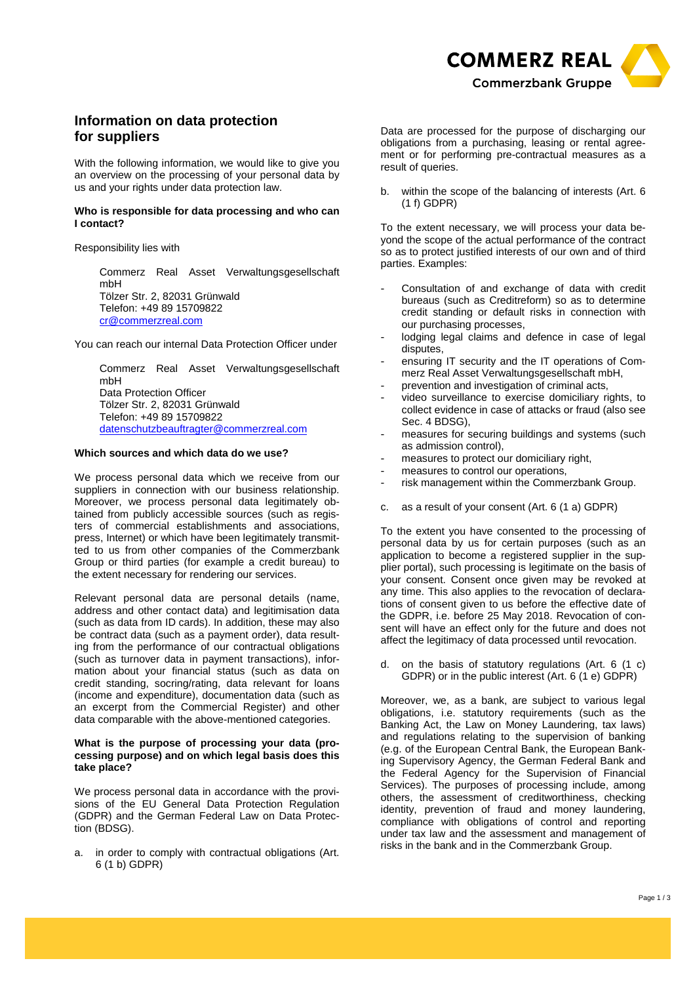

# **Information on data protection for suppliers**

With the following information, we would like to give you an overview on the processing of your personal data by us and your rights under data protection law.

#### **Who is responsible for data processing and who can I contact?**

Responsibility lies with

Commerz Real Asset Verwaltungsgesellschaft mbH Tölzer Str. 2, 82031 Grünwald Telefon: +49 89 15709822 cr@commerzreal.com

You can reach our internal Data Protection Officer under

Commerz Real Asset Verwaltungsgesellschaft mbH Data Protection Officer Tölzer Str. 2, 82031 Grünwald Telefon: +49 89 15709822 datenschutzbeauftragter@commerzreal.com

# **Which sources and which data do we use?**

We process personal data which we receive from our suppliers in connection with our business relationship. Moreover, we process personal data legitimately obtained from publicly accessible sources (such as registers of commercial establishments and associations, press, Internet) or which have been legitimately transmitted to us from other companies of the Commerzbank Group or third parties (for example a credit bureau) to the extent necessary for rendering our services.

Relevant personal data are personal details (name, address and other contact data) and legitimisation data (such as data from ID cards). In addition, these may also be contract data (such as a payment order), data resulting from the performance of our contractual obligations (such as turnover data in payment transactions), information about your financial status (such as data on credit standing, socring/rating, data relevant for loans (income and expenditure), documentation data (such as an excerpt from the Commercial Register) and other data comparable with the above-mentioned categories.

#### **What is the purpose of processing your data (processing purpose) and on which legal basis does this take place?**

We process personal data in accordance with the provisions of the EU General Data Protection Regulation (GDPR) and the German Federal Law on Data Protection (BDSG).

a. in order to comply with contractual obligations (Art. 6 (1 b) GDPR)

Data are processed for the purpose of discharging our obligations from a purchasing, leasing or rental agreement or for performing pre-contractual measures as a result of queries.

b. within the scope of the balancing of interests (Art. 6 (1 f) GDPR)

To the extent necessary, we will process your data beyond the scope of the actual performance of the contract so as to protect justified interests of our own and of third parties. Examples:

- Consultation of and exchange of data with credit bureaus (such as Creditreform) so as to determine credit standing or default risks in connection with our purchasing processes,
- lodging legal claims and defence in case of legal disputes,
- ensuring IT security and the IT operations of Commerz Real Asset Verwaltungsgesellschaft mbH,
- prevention and investigation of criminal acts,
- video surveillance to exercise domiciliary rights, to collect evidence in case of attacks or fraud (also see Sec. 4 BDSG),
- measures for securing buildings and systems (such as admission control),
- measures to protect our domiciliary right,
- measures to control our operations.
- risk management within the Commerzbank Group.
- c. as a result of your consent (Art. 6 (1 a) GDPR)

To the extent you have consented to the processing of personal data by us for certain purposes (such as an application to become a registered supplier in the supplier portal), such processing is legitimate on the basis of your consent. Consent once given may be revoked at any time. This also applies to the revocation of declarations of consent given to us before the effective date of the GDPR, i.e. before 25 May 2018. Revocation of consent will have an effect only for the future and does not affect the legitimacy of data processed until revocation.

d. on the basis of statutory regulations (Art. 6 (1 c) GDPR) or in the public interest (Art. 6 (1 e) GDPR)

Moreover, we, as a bank, are subject to various legal obligations, i.e. statutory requirements (such as the Banking Act, the Law on Money Laundering, tax laws) and regulations relating to the supervision of banking (e.g. of the European Central Bank, the European Banking Supervisory Agency, the German Federal Bank and the Federal Agency for the Supervision of Financial Services). The purposes of processing include, among others, the assessment of creditworthiness, checking identity, prevention of fraud and money laundering, compliance with obligations of control and reporting under tax law and the assessment and management of risks in the bank and in the Commerzbank Group.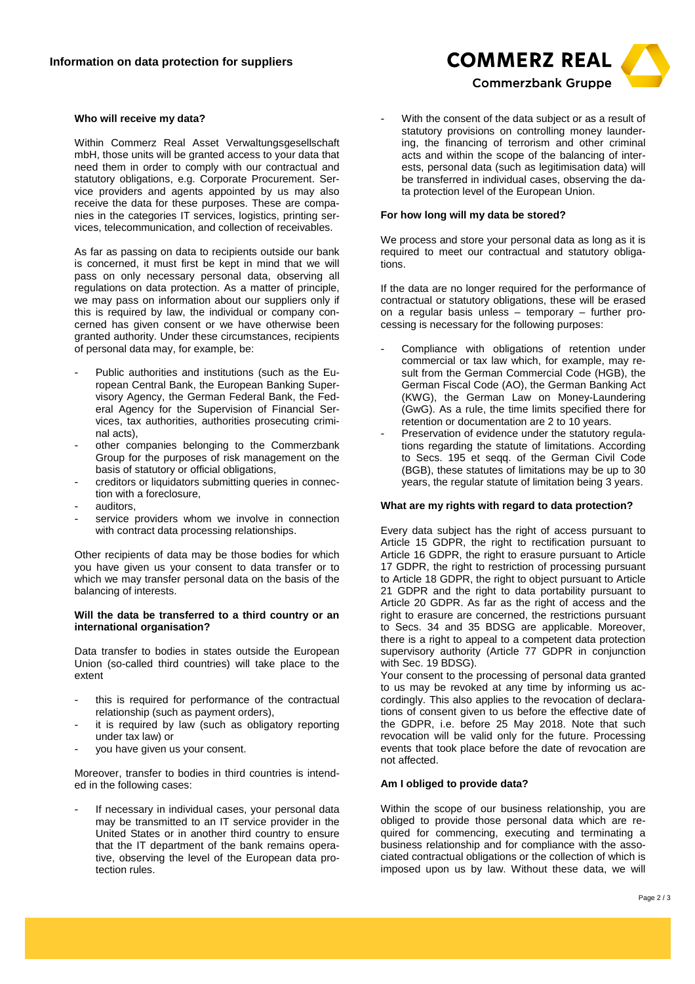#### **Who will receive my data?**

Within Commerz Real Asset Verwaltungsgesellschaft mbH, those units will be granted access to your data that need them in order to comply with our contractual and statutory obligations, e.g. Corporate Procurement. Service providers and agents appointed by us may also receive the data for these purposes. These are companies in the categories IT services, logistics, printing services, telecommunication, and collection of receivables.

As far as passing on data to recipients outside our bank is concerned, it must first be kept in mind that we will pass on only necessary personal data, observing all regulations on data protection. As a matter of principle, we may pass on information about our suppliers only if this is required by law, the individual or company concerned has given consent or we have otherwise been granted authority. Under these circumstances, recipients of personal data may, for example, be:

- Public authorities and institutions (such as the European Central Bank, the European Banking Supervisory Agency, the German Federal Bank, the Federal Agency for the Supervision of Financial Services, tax authorities, authorities prosecuting criminal acts),
- other companies belonging to the Commerzbank Group for the purposes of risk management on the basis of statutory or official obligations,
- creditors or liquidators submitting queries in connection with a foreclosure,
- auditors.
- service providers whom we involve in connection with contract data processing relationships.

Other recipients of data may be those bodies for which you have given us your consent to data transfer or to which we may transfer personal data on the basis of the balancing of interests.

#### **Will the data be transferred to a third country or an international organisation?**

Data transfer to bodies in states outside the European Union (so-called third countries) will take place to the extent

- this is required for performance of the contractual relationship (such as payment orders),
- it is required by law (such as obligatory reporting under tax law) or
- you have given us your consent.

Moreover, transfer to bodies in third countries is intended in the following cases:

If necessary in individual cases, your personal data may be transmitted to an IT service provider in the United States or in another third country to ensure that the IT department of the bank remains operative, observing the level of the European data protection rules.

With the consent of the data subject or as a result of statutory provisions on controlling money laundering, the financing of terrorism and other criminal acts and within the scope of the balancing of interests, personal data (such as legitimisation data) will be transferred in individual cases, observing the data protection level of the European Union.

#### **For how long will my data be stored?**

We process and store your personal data as long as it is required to meet our contractual and statutory obligations.

If the data are no longer required for the performance of contractual or statutory obligations, these will be erased on a regular basis unless – temporary – further processing is necessary for the following purposes:

- Compliance with obligations of retention under commercial or tax law which, for example, may result from the German Commercial Code (HGB), the German Fiscal Code (AO), the German Banking Act (KWG), the German Law on Money-Laundering (GwG). As a rule, the time limits specified there for retention or documentation are 2 to 10 years.
- Preservation of evidence under the statutory regulations regarding the statute of limitations. According to Secs. 195 et seqq. of the German Civil Code (BGB), these statutes of limitations may be up to 30 years, the regular statute of limitation being 3 years.

#### **What are my rights with regard to data protection?**

Every data subject has the right of access pursuant to Article 15 GDPR, the right to rectification pursuant to Article 16 GDPR, the right to erasure pursuant to Article 17 GDPR, the right to restriction of processing pursuant to Article 18 GDPR, the right to object pursuant to Article 21 GDPR and the right to data portability pursuant to Article 20 GDPR. As far as the right of access and the right to erasure are concerned, the restrictions pursuant to Secs. 34 and 35 BDSG are applicable. Moreover, there is a right to appeal to a competent data protection supervisory authority (Article 77 GDPR in conjunction with Sec. 19 BDSG).

Your consent to the processing of personal data granted to us may be revoked at any time by informing us accordingly. This also applies to the revocation of declarations of consent given to us before the effective date of the GDPR, i.e. before 25 May 2018. Note that such revocation will be valid only for the future. Processing events that took place before the date of revocation are not affected.

# **Am I obliged to provide data?**

Within the scope of our business relationship, you are obliged to provide those personal data which are required for commencing, executing and terminating a business relationship and for compliance with the associated contractual obligations or the collection of which is imposed upon us by law. Without these data, we will